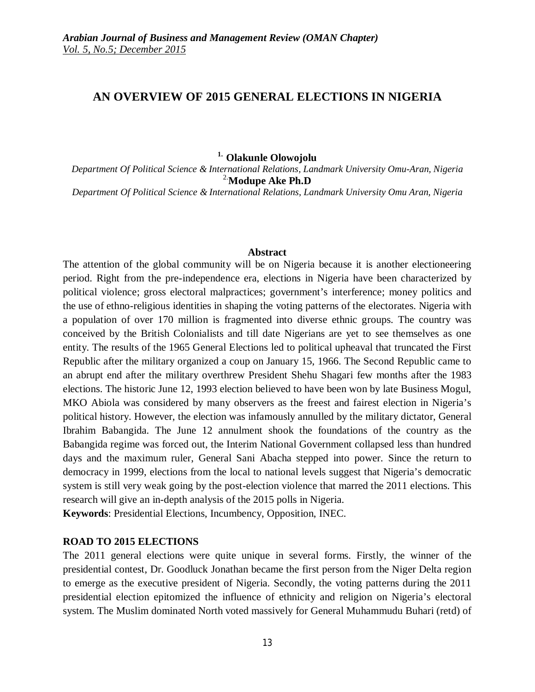# **AN OVERVIEW OF 2015 GENERAL ELECTIONS IN NIGERIA**

#### **1. Olakunle Olowojolu**

*Department Of Political Science & International Relations, Landmark University Omu-Aran, Nigeria* 2.**Modupe Ake Ph.D**

*Department Of Political Science & International Relations, Landmark University Omu Aran, Nigeria*

#### **Abstract**

The attention of the global community will be on Nigeria because it is another electioneering period. Right from the pre-independence era, elections in Nigeria have been characterized by political violence; gross electoral malpractices; government's interference; money politics and the use of ethno-religious identities in shaping the voting patterns of the electorates. Nigeria with a population of over 170 million is fragmented into diverse ethnic groups. The country was conceived by the British Colonialists and till date Nigerians are yet to see themselves as one entity. The results of the 1965 General Elections led to political upheaval that truncated the First Republic after the military organized a coup on January 15, 1966. The Second Republic came to an abrupt end after the military overthrew President Shehu Shagari few months after the 1983 elections. The historic June 12, 1993 election believed to have been won by late Business Mogul, MKO Abiola was considered by many observers as the freest and fairest election in Nigeria's political history. However, the election was infamously annulled by the military dictator, General Ibrahim Babangida. The June 12 annulment shook the foundations of the country as the Babangida regime was forced out, the Interim National Government collapsed less than hundred days and the maximum ruler, General Sani Abacha stepped into power. Since the return to democracy in 1999, elections from the local to national levels suggest that Nigeria's democratic system is still very weak going by the post-election violence that marred the 2011 elections. This research will give an in-depth analysis of the 2015 polls in Nigeria.

**Keywords**: Presidential Elections, Incumbency, Opposition, INEC.

#### **ROAD TO 2015 ELECTIONS**

The 2011 general elections were quite unique in several forms. Firstly, the winner of the presidential contest, Dr. Goodluck Jonathan became the first person from the Niger Delta region to emerge as the executive president of Nigeria. Secondly, the voting patterns during the 2011 presidential election epitomized the influence of ethnicity and religion on Nigeria's electoral system. The Muslim dominated North voted massively for General Muhammudu Buhari (retd) of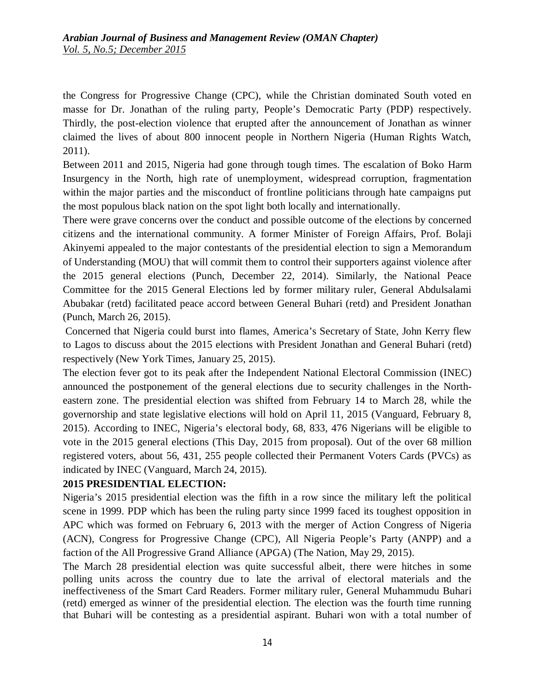the Congress for Progressive Change (CPC), while the Christian dominated South voted en masse for Dr. Jonathan of the ruling party, People's Democratic Party (PDP) respectively. Thirdly, the post-election violence that erupted after the announcement of Jonathan as winner claimed the lives of about 800 innocent people in Northern Nigeria (Human Rights Watch, 2011).

Between 2011 and 2015, Nigeria had gone through tough times. The escalation of Boko Harm Insurgency in the North, high rate of unemployment, widespread corruption, fragmentation within the major parties and the misconduct of frontline politicians through hate campaigns put the most populous black nation on the spot light both locally and internationally.

There were grave concerns over the conduct and possible outcome of the elections by concerned citizens and the international community. A former Minister of Foreign Affairs, Prof. Bolaji Akinyemi appealed to the major contestants of the presidential election to sign a Memorandum of Understanding (MOU) that will commit them to control their supporters against violence after the 2015 general elections (Punch, December 22, 2014). Similarly, the National Peace Committee for the 2015 General Elections led by former military ruler, General Abdulsalami Abubakar (retd) facilitated peace accord between General Buhari (retd) and President Jonathan (Punch, March 26, 2015).

Concerned that Nigeria could burst into flames, America's Secretary of State, John Kerry flew to Lagos to discuss about the 2015 elections with President Jonathan and General Buhari (retd) respectively (New York Times, January 25, 2015).

The election fever got to its peak after the Independent National Electoral Commission (INEC) announced the postponement of the general elections due to security challenges in the Northeastern zone. The presidential election was shifted from February 14 to March 28, while the governorship and state legislative elections will hold on April 11, 2015 (Vanguard, February 8, 2015). According to INEC, Nigeria's electoral body, 68, 833, 476 Nigerians will be eligible to vote in the 2015 general elections (This Day, 2015 from proposal). Out of the over 68 million registered voters, about 56, 431, 255 people collected their Permanent Voters Cards (PVCs) as indicated by INEC (Vanguard, March 24, 2015).

### **2015 PRESIDENTIAL ELECTION:**

Nigeria's 2015 presidential election was the fifth in a row since the military left the political scene in 1999. PDP which has been the ruling party since 1999 faced its toughest opposition in APC which was formed on February 6, 2013 with the merger of Action Congress of Nigeria (ACN), Congress for Progressive Change (CPC), All Nigeria People's Party (ANPP) and a faction of the All Progressive Grand Alliance (APGA) (The Nation, May 29, 2015).

The March 28 presidential election was quite successful albeit, there were hitches in some polling units across the country due to late the arrival of electoral materials and the ineffectiveness of the Smart Card Readers. Former military ruler, General Muhammudu Buhari (retd) emerged as winner of the presidential election. The election was the fourth time running that Buhari will be contesting as a presidential aspirant. Buhari won with a total number of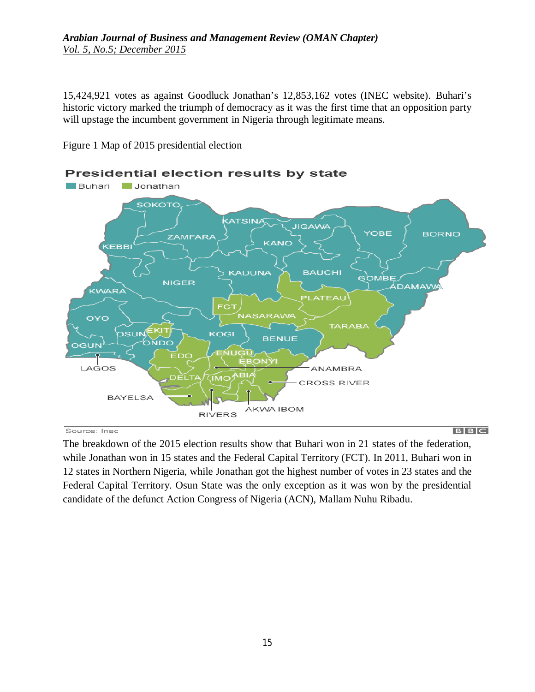### *Arabian Journal of Business and Management Review (OMAN Chapter) Vol. 5, No.5; December 2015*

15,424,921 votes as against Goodluck Jonathan's 12,853,162 votes (INEC website). Buhari's historic victory marked the triumph of democracy as it was the first time that an opposition party will upstage the incumbent government in Nigeria through legitimate means.

Figure 1 Map of 2015 presidential election



Source: Inec

 $B|B|C$ 

The breakdown of the 2015 election results show that Buhari won in 21 states of the federation, while Jonathan won in 15 states and the Federal Capital Territory (FCT). In 2011, Buhari won in 12 states in Northern Nigeria, while Jonathan got the highest number of votes in 23 states and the Federal Capital Territory. Osun State was the only exception as it was won by the presidential candidate of the defunct Action Congress of Nigeria (ACN), Mallam Nuhu Ribadu.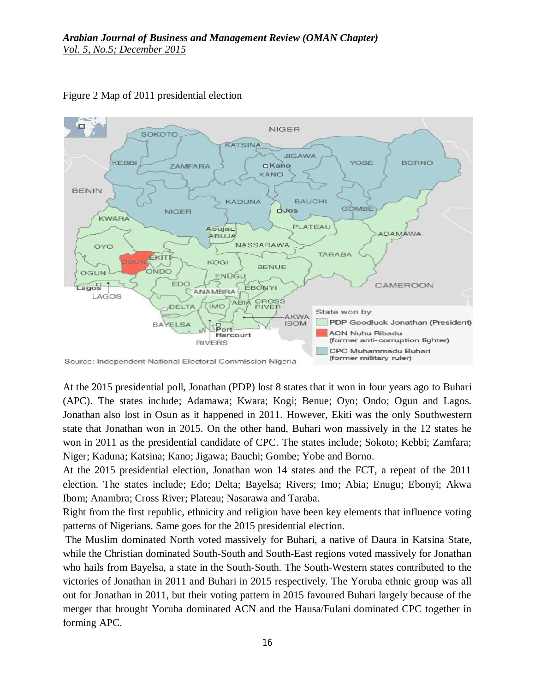

Figure 2 Map of 2011 presidential election

At the 2015 presidential poll, Jonathan (PDP) lost 8 states that it won in four years ago to Buhari (APC). The states include; Adamawa; Kwara; Kogi; Benue; Oyo; Ondo; Ogun and Lagos. Jonathan also lost in Osun as it happened in 2011. However, Ekiti was the only Southwestern state that Jonathan won in 2015. On the other hand, Buhari won massively in the 12 states he won in 2011 as the presidential candidate of CPC. The states include; Sokoto; Kebbi; Zamfara; Niger; Kaduna; Katsina; Kano; Jigawa; Bauchi; Gombe; Yobe and Borno.

At the 2015 presidential election, Jonathan won 14 states and the FCT, a repeat of the 2011 election. The states include; Edo; Delta; Bayelsa; Rivers; Imo; Abia; Enugu; Ebonyi; Akwa Ibom; Anambra; Cross River; Plateau; Nasarawa and Taraba.

Right from the first republic, ethnicity and religion have been key elements that influence voting patterns of Nigerians. Same goes for the 2015 presidential election.

The Muslim dominated North voted massively for Buhari, a native of Daura in Katsina State, while the Christian dominated South-South and South-East regions voted massively for Jonathan who hails from Bayelsa, a state in the South-South. The South-Western states contributed to the victories of Jonathan in 2011 and Buhari in 2015 respectively. The Yoruba ethnic group was all out for Jonathan in 2011, but their voting pattern in 2015 favoured Buhari largely because of the merger that brought Yoruba dominated ACN and the Hausa/Fulani dominated CPC together in forming APC.

Source: Independent National Electoral Commission Nigeria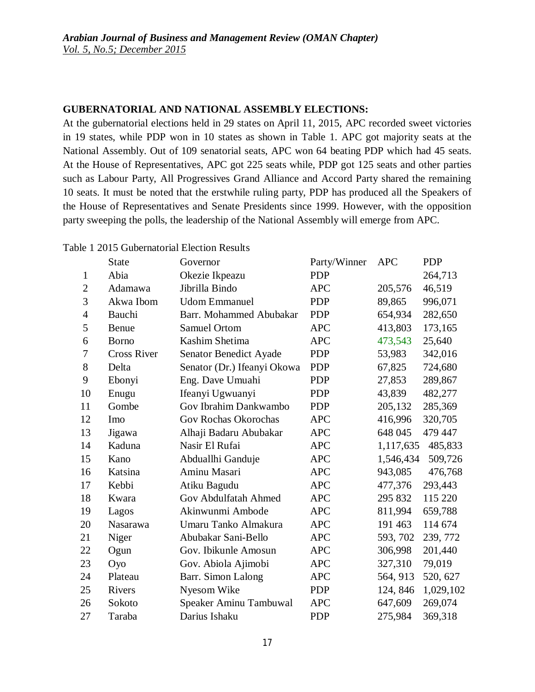### **GUBERNATORIAL AND NATIONAL ASSEMBLY ELECTIONS:**

At the gubernatorial elections held in 29 states on April 11, 2015, APC recorded sweet victories in 19 states, while PDP won in 10 states as shown in Table 1. APC got majority seats at the National Assembly. Out of 109 senatorial seats, APC won 64 beating PDP which had 45 seats. At the House of Representatives, APC got 225 seats while, PDP got 125 seats and other parties such as Labour Party, All Progressives Grand Alliance and Accord Party shared the remaining 10 seats. It must be noted that the erstwhile ruling party, PDP has produced all the Speakers of the House of Representatives and Senate Presidents since 1999. However, with the opposition party sweeping the polls, the leadership of the National Assembly will emerge from APC.

#### Table 1 2015 Gubernatorial Election Results

|                | <b>State</b>       | Governor                      | Party/Winner | <b>APC</b> | <b>PDP</b> |
|----------------|--------------------|-------------------------------|--------------|------------|------------|
| $\mathbf{1}$   | Abia               | Okezie Ikpeazu                | <b>PDP</b>   |            | 264,713    |
| $\overline{2}$ | Adamawa            | Jibrilla Bindo                | <b>APC</b>   | 205,576    | 46,519     |
| 3              | Akwa Ibom          | <b>Udom Emmanuel</b>          | <b>PDP</b>   | 89,865     | 996,071    |
| $\overline{4}$ | Bauchi             | Barr. Mohammed Abubakar       | <b>PDP</b>   | 654,934    | 282,650    |
| 5              | Benue              | <b>Samuel Ortom</b>           | <b>APC</b>   | 413,803    | 173,165    |
| 6              | <b>Borno</b>       | Kashim Shetima                | <b>APC</b>   | 473,543    | 25,640     |
| 7              | <b>Cross River</b> | <b>Senator Benedict Ayade</b> | <b>PDP</b>   | 53,983     | 342,016    |
| 8              | Delta              | Senator (Dr.) Ifeanyi Okowa   | <b>PDP</b>   | 67,825     | 724,680    |
| 9              | Ebonyi             | Eng. Dave Umuahi              | <b>PDP</b>   | 27,853     | 289,867    |
| 10             | Enugu              | Ifeanyi Ugwuanyi              | <b>PDP</b>   | 43,839     | 482,277    |
| 11             | Gombe              | Gov Ibrahim Dankwambo         | <b>PDP</b>   | 205,132    | 285,369    |
| 12             | Imo                | Gov Rochas Okorochas          | <b>APC</b>   | 416,996    | 320,705    |
| 13             | Jigawa             | Alhaji Badaru Abubakar        | <b>APC</b>   | 648 045    | 479 447    |
| 14             | Kaduna             | Nasir El Rufai                | <b>APC</b>   | 1,117,635  | 485,833    |
| 15             | Kano               | Abduallhi Ganduje             | <b>APC</b>   | 1,546,434  | 509,726    |
| 16             | Katsina            | Aminu Masari                  | <b>APC</b>   | 943,085    | 476,768    |
| 17             | Kebbi              | Atiku Bagudu                  | <b>APC</b>   | 477,376    | 293,443    |
| 18             | Kwara              | Gov Abdulfatah Ahmed          | <b>APC</b>   | 295 832    | 115 220    |
| 19             | Lagos              | Akinwunmi Ambode              | <b>APC</b>   | 811,994    | 659,788    |
| 20             | <b>Nasarawa</b>    | Umaru Tanko Almakura          | <b>APC</b>   | 191 463    | 114 674    |
| 21             | Niger              | Abubakar Sani-Bello           | <b>APC</b>   | 593, 702   | 239, 772   |
| 22             | Ogun               | Gov. Ibikunle Amosun          | <b>APC</b>   | 306,998    | 201,440    |
| 23             | Oyo                | Gov. Abiola Ajimobi           | <b>APC</b>   | 327,310    | 79,019     |
| 24             | Plateau            | Barr. Simon Lalong            | <b>APC</b>   | 564, 913   | 520, 627   |
| 25             | Rivers             | Nyesom Wike                   | <b>PDP</b>   | 124, 846   | 1,029,102  |
| 26             | Sokoto             | Speaker Aminu Tambuwal        | <b>APC</b>   | 647,609    | 269,074    |
| 27             | Taraba             | Darius Ishaku                 | <b>PDP</b>   | 275,984    | 369,318    |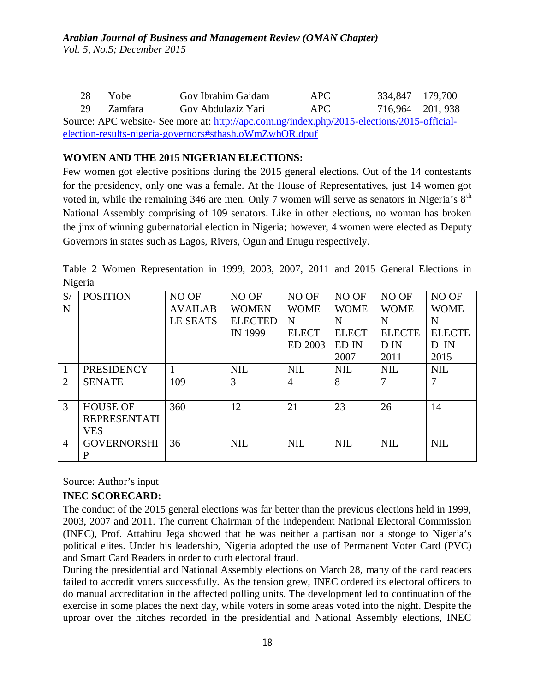| 28.                                                                                         | Yobe    | Gov Ibrahim Gaidam | APC - | 334,847 179,700  |  |  |  |  |  |
|---------------------------------------------------------------------------------------------|---------|--------------------|-------|------------------|--|--|--|--|--|
| 29                                                                                          | Zamfara | Gov Abdulaziz Yari | APC.  | 716.964 201, 938 |  |  |  |  |  |
| Source: APC website- See more at: http://apc.com.ng/index.php/2015-elections/2015-official- |         |                    |       |                  |  |  |  |  |  |
| election-results-nigeria-governors#sthash.oWmZwhOR.dpuf                                     |         |                    |       |                  |  |  |  |  |  |

### **WOMEN AND THE 2015 NIGERIAN ELECTIONS:**

Few women got elective positions during the 2015 general elections. Out of the 14 contestants for the presidency, only one was a female. At the House of Representatives, just 14 women got voted in, while the remaining 346 are men. Only 7 women will serve as senators in Nigeria's  $8<sup>th</sup>$ National Assembly comprising of 109 senators. Like in other elections, no woman has broken the jinx of winning gubernatorial election in Nigeria; however, 4 women were elected as Deputy Governors in states such as Lagos, Rivers, Ogun and Enugu respectively.

|         | Table 2 Women Representation in 1999, 2003, 2007, 2011 and 2015 General Elections in |  |  |  |  |  |
|---------|--------------------------------------------------------------------------------------|--|--|--|--|--|
| Nigeria |                                                                                      |  |  |  |  |  |

| S/             | <b>POSITION</b>     | NO OF          | NO OF          | NO OF          | NO OF        | NO OF         | NO OF         |
|----------------|---------------------|----------------|----------------|----------------|--------------|---------------|---------------|
| N              |                     | <b>AVAILAB</b> | <b>WOMEN</b>   | <b>WOME</b>    | <b>WOME</b>  | <b>WOME</b>   | <b>WOME</b>   |
|                |                     | LE SEATS       | <b>ELECTED</b> | N              | N            | N             | N             |
|                |                     |                | IN 1999        | <b>ELECT</b>   | <b>ELECT</b> | <b>ELECTE</b> | <b>ELECTE</b> |
|                |                     |                |                | ED 2003        | ED IN        | D IN          | D IN          |
|                |                     |                |                |                | 2007         | 2011          | 2015          |
|                | <b>PRESIDENCY</b>   |                | <b>NIL</b>     | <b>NIL</b>     | <b>NIL</b>   | <b>NIL</b>    | <b>NIL</b>    |
| 2              | <b>SENATE</b>       | 109            | 3              | $\overline{4}$ | 8            | 7             | 7             |
|                |                     |                |                |                |              |               |               |
| 3              | <b>HOUSE OF</b>     | 360            | 12             | 21             | 23           | 26            | 14            |
|                | <b>REPRESENTATI</b> |                |                |                |              |               |               |
|                | <b>VES</b>          |                |                |                |              |               |               |
| $\overline{4}$ | <b>GOVERNORSHI</b>  | 36             | <b>NIL</b>     | <b>NIL</b>     | <b>NIL</b>   | <b>NIL</b>    | <b>NIL</b>    |
|                | P                   |                |                |                |              |               |               |

Source: Author's input

## **INEC SCORECARD:**

The conduct of the 2015 general elections was far better than the previous elections held in 1999, 2003, 2007 and 2011. The current Chairman of the Independent National Electoral Commission (INEC), Prof. Attahiru Jega showed that he was neither a partisan nor a stooge to Nigeria's political elites. Under his leadership, Nigeria adopted the use of Permanent Voter Card (PVC) and Smart Card Readers in order to curb electoral fraud.

During the presidential and National Assembly elections on March 28, many of the card readers failed to accredit voters successfully. As the tension grew, INEC ordered its electoral officers to do manual accreditation in the affected polling units. The development led to continuation of the exercise in some places the next day, while voters in some areas voted into the night. Despite the uproar over the hitches recorded in the presidential and National Assembly elections, INEC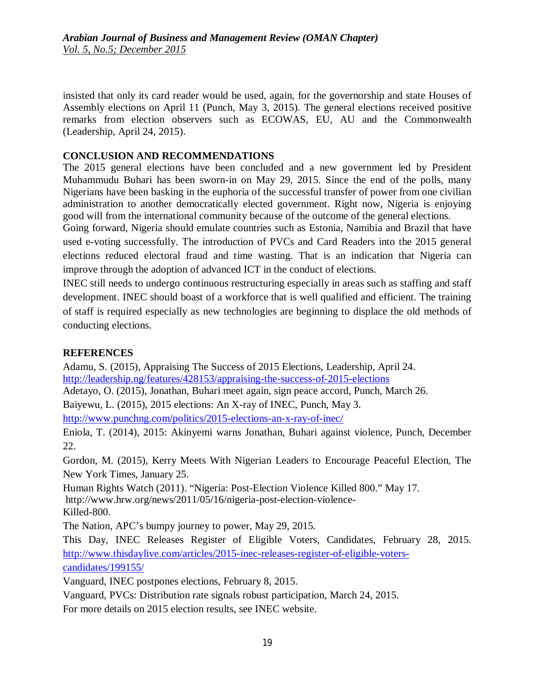insisted that only its card reader would be used, again, for the governorship and state Houses of Assembly elections on April 11 (Punch, May 3, 2015). The general elections received positive remarks from election observers such as ECOWAS, EU, AU and the Commonwealth (Leadership, April 24, 2015).

# **CONCLUSION AND RECOMMENDATIONS**

The 2015 general elections have been concluded and a new government led by President Muhammudu Buhari has been sworn-in on May 29, 2015. Since the end of the polls, many Nigerians have been basking in the euphoria of the successful transfer of power from one civilian administration to another democratically elected government. Right now, Nigeria is enjoying good will from the international community because of the outcome of the general elections.

Going forward, Nigeria should emulate countries such as Estonia, Namibia and Brazil that have used e-voting successfully. The introduction of PVCs and Card Readers into the 2015 general elections reduced electoral fraud and time wasting. That is an indication that Nigeria can improve through the adoption of advanced ICT in the conduct of elections.

INEC still needs to undergo continuous restructuring especially in areas such as staffing and staff development. INEC should boast of a workforce that is well qualified and efficient. The training of staff is required especially as new technologies are beginning to displace the old methods of conducting elections.

# **REFERENCES**

Adamu, S. (2015), Appraising The Success of 2015 Elections, Leadership, April 24. http://leadership.ng/features/428153/appraising-the-success-of-2015-elections

Adetayo, O. (2015), Jonathan, Buhari meet again, sign peace accord, Punch, March 26.

Baiyewu, L. (2015), 2015 elections: An X-ray of INEC, Punch, May 3.

http://www.punchng.com/politics/2015-elections-an-x-ray-of-inec/

Eniola, T. (2014), 2015: Akinyemi warns Jonathan, Buhari against violence, Punch, December 22.

Gordon, M. (2015), Kerry Meets With Nigerian Leaders to Encourage Peaceful Election, The New York Times, January 25.

Human Rights Watch (2011). "Nigeria: Post-Election Violence Killed 800." May 17. http://www.hrw.org/news/2011/05/16/nigeria-post-election-violence-Killed-800.

The Nation, APC's bumpy journey to power, May 29, 2015.

This Day, INEC Releases Register of Eligible Voters, Candidates, February 28, 2015. http://www.thisdaylive.com/articles/2015-inec-releases-register-of-eligible-voterscandidates/199155/

Vanguard, INEC postpones elections, February 8, 2015.

Vanguard, PVCs: Distribution rate signals robust participation, March 24, 2015.

For more details on 2015 election results, see INEC website.